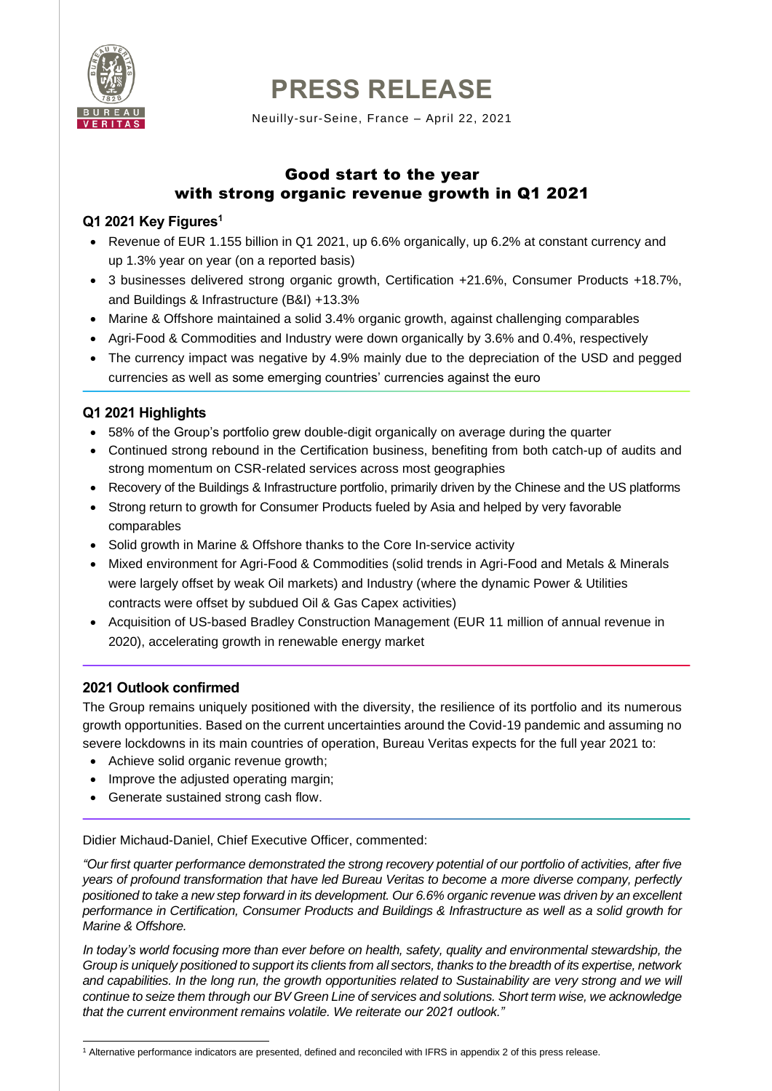

# **PRESS RELEASE**

Neuilly-sur-Seine, France – April 22, 2021

# Good start to the year with strong organic revenue growth in Q1 2021

# **Q1 2021 Key Figures<sup>1</sup>**

- Revenue of EUR 1.155 billion in Q1 2021, up 6.6% organically, up 6.2% at constant currency and up 1.3% year on year (on a reported basis)
- 3 businesses delivered strong organic growth, Certification +21.6%, Consumer Products +18.7%, and Buildings & Infrastructure (B&I) +13.3%
- Marine & Offshore maintained a solid 3.4% organic growth, against challenging comparables
- Agri-Food & Commodities and Industry were down organically by 3.6% and 0.4%, respectively
- The currency impact was negative by 4.9% mainly due to the depreciation of the USD and pegged currencies as well as some emerging countries' currencies against the euro

# **Q1 2021 Highlights**

- 58% of the Group's portfolio grew double-digit organically on average during the quarter
- Continued strong rebound in the Certification business, benefiting from both catch-up of audits and strong momentum on CSR-related services across most geographies
- Recovery of the Buildings & Infrastructure portfolio, primarily driven by the Chinese and the US platforms
- Strong return to growth for Consumer Products fueled by Asia and helped by very favorable comparables
- Solid growth in Marine & Offshore thanks to the Core In-service activity
- Mixed environment for Agri-Food & Commodities (solid trends in Agri-Food and Metals & Minerals were largely offset by weak Oil markets) and Industry (where the dynamic Power & Utilities contracts were offset by subdued Oil & Gas Capex activities)
- Acquisition of US-based Bradley Construction Management (EUR 11 million of annual revenue in 2020), accelerating growth in renewable energy market

# **2021 Outlook confirmed**

The Group remains uniquely positioned with the diversity, the resilience of its portfolio and its numerous growth opportunities. Based on the current uncertainties around the Covid-19 pandemic and assuming no severe lockdowns in its main countries of operation, Bureau Veritas expects for the full year 2021 to:

- Achieve solid organic revenue growth;
- Improve the adjusted operating margin;
- Generate sustained strong cash flow.

Didier Michaud-Daniel, Chief Executive Officer, commented:

*"Our first quarter performance demonstrated the strong recovery potential of our portfolio of activities, after five years of profound transformation that have led Bureau Veritas to become a more diverse company, perfectly positioned to take a new step forward in its development. Our 6.6% organic revenue was driven by an excellent performance in Certification, Consumer Products and Buildings & Infrastructure as well as a solid growth for Marine & Offshore.*

*In today's world focusing more than ever before on health, safety, quality and environmental stewardship, the Group is uniquely positioned to support its clients from all sectors, thanks to the breadth of its expertise, network and capabilities. In the long run, the growth opportunities related to Sustainability are very strong and we will continue to seize them through our BV Green Line of services and solutions. Short term wise, we acknowledge that the current environment remains volatile. We reiterate our 2021 outlook."*

<sup>1</sup> Alternative performance indicators are presented, defined and reconciled with IFRS in appendix 2 of this press release.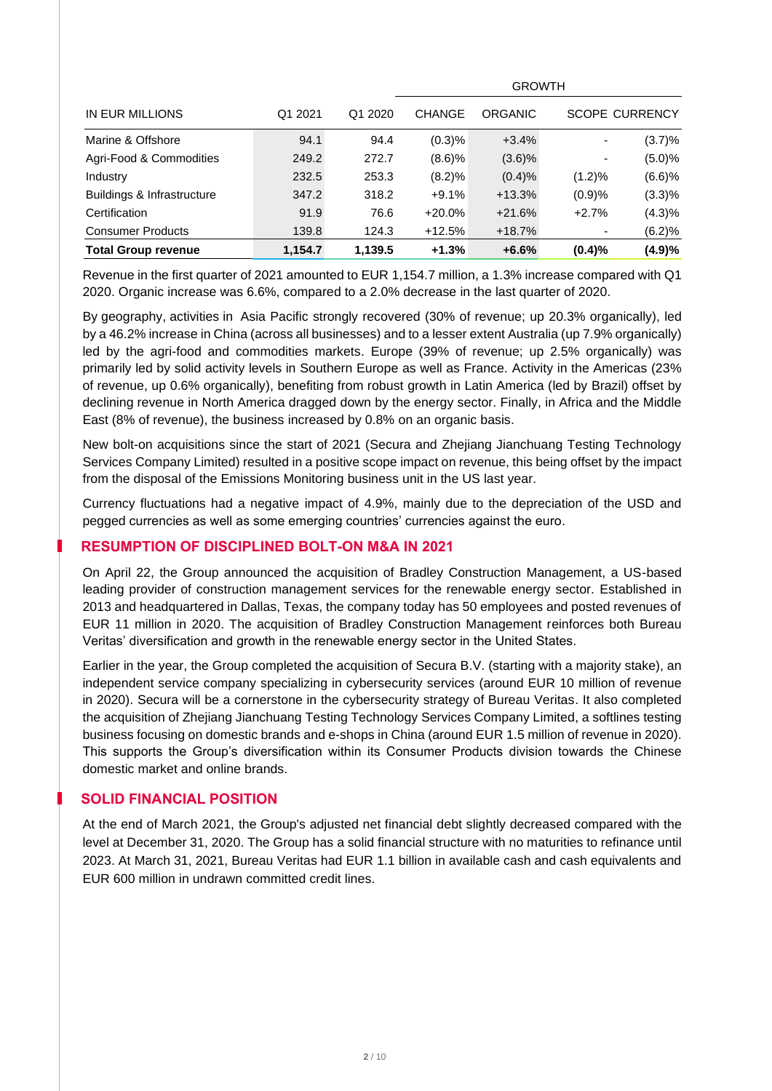|                            |         |         |               | <b>GROWTH</b> |           |                       |
|----------------------------|---------|---------|---------------|---------------|-----------|-----------------------|
| IN EUR MILLIONS            | Q1 2021 | Q1 2020 | <b>CHANGE</b> | ORGANIC       |           | <b>SCOPE CURRENCY</b> |
| Marine & Offshore          | 94.1    | 94.4    | (0.3)%        | $+3.4%$       |           | (3.7)%                |
| Agri-Food & Commodities    | 249.2   | 272.7   | (8.6)%        | $(3.6)\%$     |           | (5.0)%                |
| Industry                   | 232.5   | 253.3   | (8.2)%        | (0.4)%        | $(1.2)\%$ | (6.6)%                |
| Buildings & Infrastructure | 347.2   | 318.2   | $+9.1%$       | $+13.3%$      | (0.9)%    | (3.3)%                |
| Certification              | 91.9    | 76.6    | $+20.0\%$     | $+21.6%$      | $+2.7%$   | (4.3)%                |
| <b>Consumer Products</b>   | 139.8   | 124.3   | $+12.5%$      | $+18.7%$      |           | (6.2)%                |
| <b>Total Group revenue</b> | 1,154.7 | 1,139.5 | $+1.3%$       | $+6.6%$       | (0.4)%    | (4.9)%                |

Revenue in the first quarter of 2021 amounted to EUR 1,154.7 million, a 1.3% increase compared with Q1 2020. Organic increase was 6.6%, compared to a 2.0% decrease in the last quarter of 2020.

By geography, activities in Asia Pacific strongly recovered (30% of revenue; up 20.3% organically), led by a 46.2% increase in China (across all businesses) and to a lesser extent Australia (up 7.9% organically) led by the agri-food and commodities markets. Europe (39% of revenue; up 2.5% organically) was primarily led by solid activity levels in Southern Europe as well as France. Activity in the Americas (23% of revenue, up 0.6% organically), benefiting from robust growth in Latin America (led by Brazil) offset by declining revenue in North America dragged down by the energy sector. Finally, in Africa and the Middle East (8% of revenue), the business increased by 0.8% on an organic basis.

New bolt-on acquisitions since the start of 2021 (Secura and Zhejiang Jianchuang Testing Technology Services Company Limited) resulted in a positive scope impact on revenue, this being offset by the impact from the disposal of the Emissions Monitoring business unit in the US last year.

Currency fluctuations had a negative impact of 4.9%, mainly due to the depreciation of the USD and pegged currencies as well as some emerging countries' currencies against the euro.

# **RESUMPTION OF DISCIPLINED BOLT-ON M&A IN 2021**

On April 22, the Group announced the acquisition of Bradley Construction Management, a US-based leading provider of construction management services for the renewable energy sector. Established in 2013 and headquartered in Dallas, Texas, the company today has 50 employees and posted revenues of EUR 11 million in 2020. The acquisition of Bradley Construction Management reinforces both Bureau Veritas' diversification and growth in the renewable energy sector in the United States.

Earlier in the year, the Group completed the acquisition of Secura B.V. (starting with a majority stake), an independent service company specializing in cybersecurity services (around EUR 10 million of revenue in 2020). Secura will be a cornerstone in the cybersecurity strategy of Bureau Veritas. It also completed the acquisition of Zhejiang Jianchuang Testing Technology Services Company Limited, a softlines testing business focusing on domestic brands and e-shops in China (around EUR 1.5 million of revenue in 2020). This supports the Group's diversification within its Consumer Products division towards the Chinese domestic market and online brands.

#### **SOLID FINANCIAL POSITION**

At the end of March 2021, the Group's adjusted net financial debt slightly decreased compared with the level at December 31, 2020. The Group has a solid financial structure with no maturities to refinance until 2023. At March 31, 2021, Bureau Veritas had EUR 1.1 billion in available cash and cash equivalents and EUR 600 million in undrawn committed credit lines.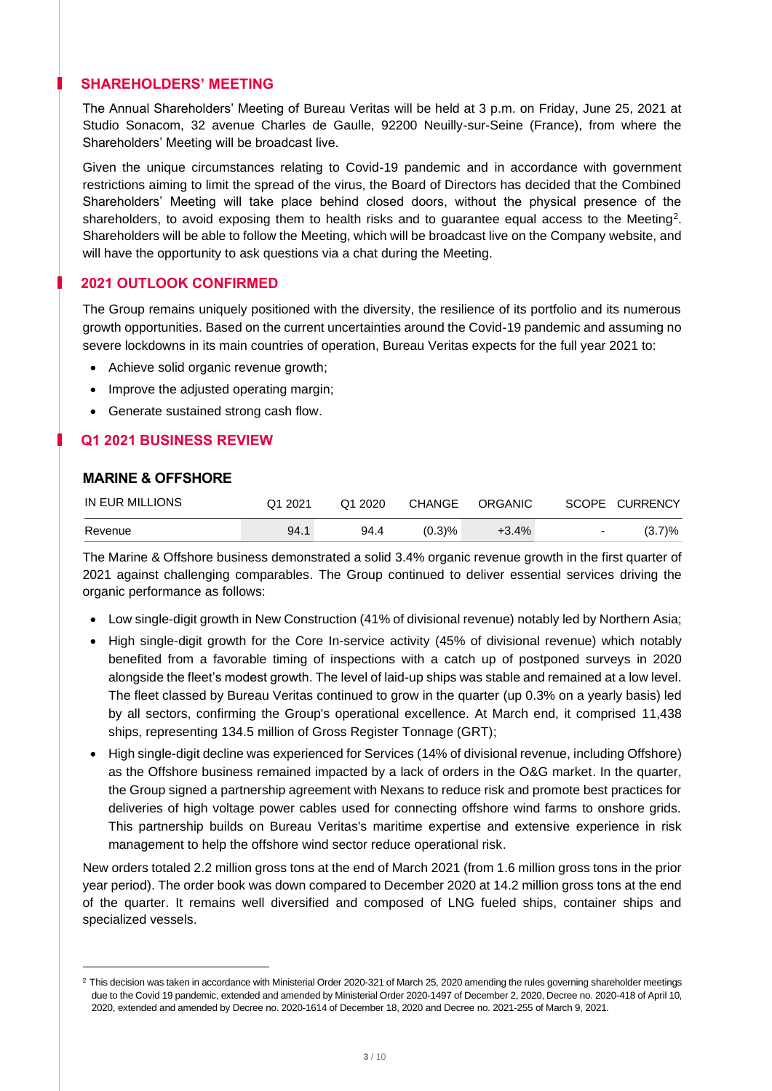# **SHAREHOLDERS' MEETING**

The Annual Shareholders' Meeting of Bureau Veritas will be held at 3 p.m. on Friday, June 25, 2021 at Studio Sonacom, 32 avenue Charles de Gaulle, 92200 Neuilly-sur-Seine (France), from where the Shareholders' Meeting will be broadcast live.

Given the unique circumstances relating to Covid-19 pandemic and in accordance with government restrictions aiming to limit the spread of the virus, the Board of Directors has decided that the Combined Shareholders' Meeting will take place behind closed doors, without the physical presence of the shareholders, to avoid exposing them to health risks and to guarantee equal access to the Meeting<sup>2</sup>. Shareholders will be able to follow the Meeting, which will be broadcast live on the Company website, and will have the opportunity to ask questions via a chat during the Meeting.

# **2021 OUTLOOK CONFIRMED**

The Group remains uniquely positioned with the diversity, the resilience of its portfolio and its numerous growth opportunities. Based on the current uncertainties around the Covid-19 pandemic and assuming no severe lockdowns in its main countries of operation, Bureau Veritas expects for the full year 2021 to:

- Achieve solid organic revenue growth;
- Improve the adjusted operating margin;
- Generate sustained strong cash flow.

# **Q1 2021 BUSINESS REVIEW**

# **MARINE & OFFSHORE**

| IN EUR MILLIONS | Q1 2021 | Q1 2020 | CHANGE    | ORGANIC |                          | SCOPE CURRENCY |
|-----------------|---------|---------|-----------|---------|--------------------------|----------------|
| Revenue         | 94.1    | 94.4    | $(0.3)$ % | +3.4%   | $\overline{\phantom{a}}$ | $(3.7)\%$      |

The Marine & Offshore business demonstrated a solid 3.4% organic revenue growth in the first quarter of 2021 against challenging comparables. The Group continued to deliver essential services driving the organic performance as follows:

- Low single-digit growth in New Construction (41% of divisional revenue) notably led by Northern Asia;
- High single-digit growth for the Core In-service activity (45% of divisional revenue) which notably benefited from a favorable timing of inspections with a catch up of postponed surveys in 2020 alongside the fleet's modest growth. The level of laid-up ships was stable and remained at a low level. The fleet classed by Bureau Veritas continued to grow in the quarter (up 0.3% on a yearly basis) led by all sectors, confirming the Group's operational excellence. At March end, it comprised 11,438 ships, representing 134.5 million of Gross Register Tonnage (GRT);
- High single-digit decline was experienced for Services (14% of divisional revenue, including Offshore) as the Offshore business remained impacted by a lack of orders in the O&G market. In the quarter, the Group signed a partnership agreement with Nexans to reduce risk and promote best practices for deliveries of high voltage power cables used for connecting offshore wind farms to onshore grids. This partnership builds on Bureau Veritas's maritime expertise and extensive experience in risk management to help the offshore wind sector reduce operational risk.

New orders totaled 2.2 million gross tons at the end of March 2021 (from 1.6 million gross tons in the prior year period). The order book was down compared to December 2020 at 14.2 million gross tons at the end of the quarter. It remains well diversified and composed of LNG fueled ships, container ships and specialized vessels.

 $2$  This decision was taken in accordance with Ministerial Order 2020-321 of March 25, 2020 amending the rules governing shareholder meetings due to the Covid 19 pandemic, extended and amended by Ministerial Order 2020-1497 of December 2, 2020, Decree no. 2020-418 of April 10, 2020, extended and amended by Decree no. 2020-1614 of December 18, 2020 and Decree no. 2021-255 of March 9, 2021.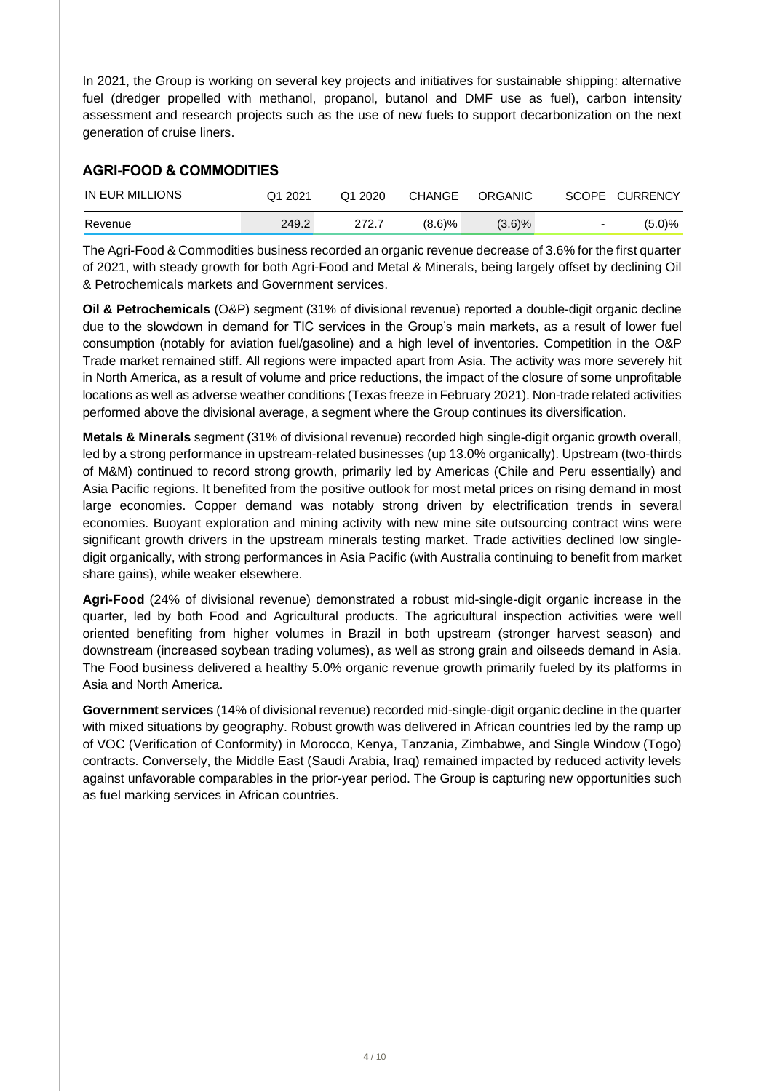In 2021, the Group is working on several key projects and initiatives for sustainable shipping: alternative fuel (dredger propelled with methanol, propanol, butanol and DMF use as fuel), carbon intensity assessment and research projects such as the use of new fuels to support decarbonization on the next generation of cruise liners.

# **AGRI-FOOD & COMMODITIES**

| IN EUR MILLIONS | Q1 2021 | Q1 2020 | CHANGE    | ORGANIC   |                          | SCOPE CURRENCY |
|-----------------|---------|---------|-----------|-----------|--------------------------|----------------|
| Revenue         | 249.2   | 272.7   | $(8.6)$ % | $(3.6)\%$ | $\overline{\phantom{a}}$ | (5.0)%         |

The Agri-Food & Commodities business recorded an organic revenue decrease of 3.6% for the first quarter of 2021, with steady growth for both Agri-Food and Metal & Minerals, being largely offset by declining Oil & Petrochemicals markets and Government services.

**Oil & Petrochemicals** (O&P) segment (31% of divisional revenue) reported a double-digit organic decline due to the slowdown in demand for TIC services in the Group's main markets, as a result of lower fuel consumption (notably for aviation fuel/gasoline) and a high level of inventories. Competition in the O&P Trade market remained stiff. All regions were impacted apart from Asia. The activity was more severely hit in North America, as a result of volume and price reductions, the impact of the closure of some unprofitable locations as well as adverse weather conditions (Texas freeze in February 2021). Non-trade related activities performed above the divisional average, a segment where the Group continues its diversification.

**Metals & Minerals** segment (31% of divisional revenue) recorded high single-digit organic growth overall, led by a strong performance in upstream-related businesses (up 13.0% organically). Upstream (two-thirds of M&M) continued to record strong growth, primarily led by Americas (Chile and Peru essentially) and Asia Pacific regions. It benefited from the positive outlook for most metal prices on rising demand in most large economies. Copper demand was notably strong driven by electrification trends in several economies. Buoyant exploration and mining activity with new mine site outsourcing contract wins were significant growth drivers in the upstream minerals testing market. Trade activities declined low singledigit organically, with strong performances in Asia Pacific (with Australia continuing to benefit from market share gains), while weaker elsewhere.

**Agri-Food** (24% of divisional revenue) demonstrated a robust mid-single-digit organic increase in the quarter, led by both Food and Agricultural products. The agricultural inspection activities were well oriented benefiting from higher volumes in Brazil in both upstream (stronger harvest season) and downstream (increased soybean trading volumes), as well as strong grain and oilseeds demand in Asia. The Food business delivered a healthy 5.0% organic revenue growth primarily fueled by its platforms in Asia and North America.

**Government services** (14% of divisional revenue) recorded mid-single-digit organic decline in the quarter with mixed situations by geography. Robust growth was delivered in African countries led by the ramp up of VOC (Verification of Conformity) in Morocco, Kenya, Tanzania, Zimbabwe, and Single Window (Togo) contracts. Conversely, the Middle East (Saudi Arabia, Iraq) remained impacted by reduced activity levels against unfavorable comparables in the prior-year period. The Group is capturing new opportunities such as fuel marking services in African countries.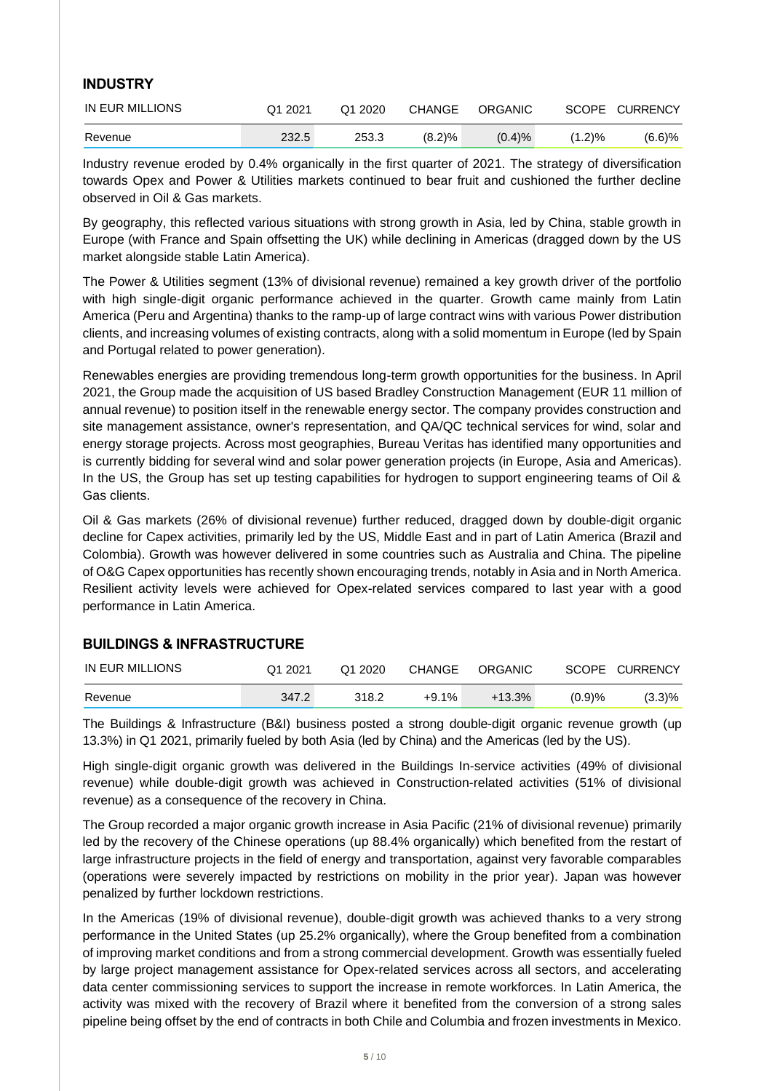# **INDUSTRY**

| IN EUR MILLIONS | Q1 2021 | Q1 2020 | CHANGE | ORGANIC |           | SCOPE CURRENCY |
|-----------------|---------|---------|--------|---------|-----------|----------------|
| Revenue         | 232.5   | 253.3   | (8.2)% | (0.4)%  | $(1.2)\%$ | $(6.6)$ %      |

Industry revenue eroded by 0.4% organically in the first quarter of 2021. The strategy of diversification towards Opex and Power & Utilities markets continued to bear fruit and cushioned the further decline observed in Oil & Gas markets.

By geography, this reflected various situations with strong growth in Asia, led by China, stable growth in Europe (with France and Spain offsetting the UK) while declining in Americas (dragged down by the US market alongside stable Latin America).

The Power & Utilities segment (13% of divisional revenue) remained a key growth driver of the portfolio with high single-digit organic performance achieved in the quarter. Growth came mainly from Latin America (Peru and Argentina) thanks to the ramp-up of large contract wins with various Power distribution clients, and increasing volumes of existing contracts, along with a solid momentum in Europe (led by Spain and Portugal related to power generation).

Renewables energies are providing tremendous long-term growth opportunities for the business. In April 2021, the Group made the acquisition of US based Bradley Construction Management (EUR 11 million of annual revenue) to position itself in the renewable energy sector. The company provides construction and site management assistance, owner's representation, and QA/QC technical services for wind, solar and energy storage projects. Across most geographies, Bureau Veritas has identified many opportunities and is currently bidding for several wind and solar power generation projects (in Europe, Asia and Americas). In the US, the Group has set up testing capabilities for hydrogen to support engineering teams of Oil & Gas clients.

Oil & Gas markets (26% of divisional revenue) further reduced, dragged down by double-digit organic decline for Capex activities, primarily led by the US, Middle East and in part of Latin America (Brazil and Colombia). Growth was however delivered in some countries such as Australia and China. The pipeline of O&G Capex opportunities has recently shown encouraging trends, notably in Asia and in North America. Resilient activity levels were achieved for Opex-related services compared to last year with a good performance in Latin America.

# **BUILDINGS & INFRASTRUCTURE**

| IN EUR MILLIONS | Q1 2021 | Q1 2020 | CHANGE | ORGANIC |            | SCOPE CURRENCY |
|-----------------|---------|---------|--------|---------|------------|----------------|
| Revenue         | 347.2   | 318.2   | +9.1%  | +13.3%  | $(0.9) \%$ | $(3.3)\%$      |

The Buildings & Infrastructure (B&I) business posted a strong double-digit organic revenue growth (up 13.3%) in Q1 2021, primarily fueled by both Asia (led by China) and the Americas (led by the US).

High single-digit organic growth was delivered in the Buildings In-service activities (49% of divisional revenue) while double-digit growth was achieved in Construction-related activities (51% of divisional revenue) as a consequence of the recovery in China.

The Group recorded a major organic growth increase in Asia Pacific (21% of divisional revenue) primarily led by the recovery of the Chinese operations (up 88.4% organically) which benefited from the restart of large infrastructure projects in the field of energy and transportation, against very favorable comparables (operations were severely impacted by restrictions on mobility in the prior year). Japan was however penalized by further lockdown restrictions.

In the Americas (19% of divisional revenue), double-digit growth was achieved thanks to a very strong performance in the United States (up 25.2% organically), where the Group benefited from a combination of improving market conditions and from a strong commercial development. Growth was essentially fueled by large project management assistance for Opex-related services across all sectors, and accelerating data center commissioning services to support the increase in remote workforces. In Latin America, the activity was mixed with the recovery of Brazil where it benefited from the conversion of a strong sales pipeline being offset by the end of contracts in both Chile and Columbia and frozen investments in Mexico.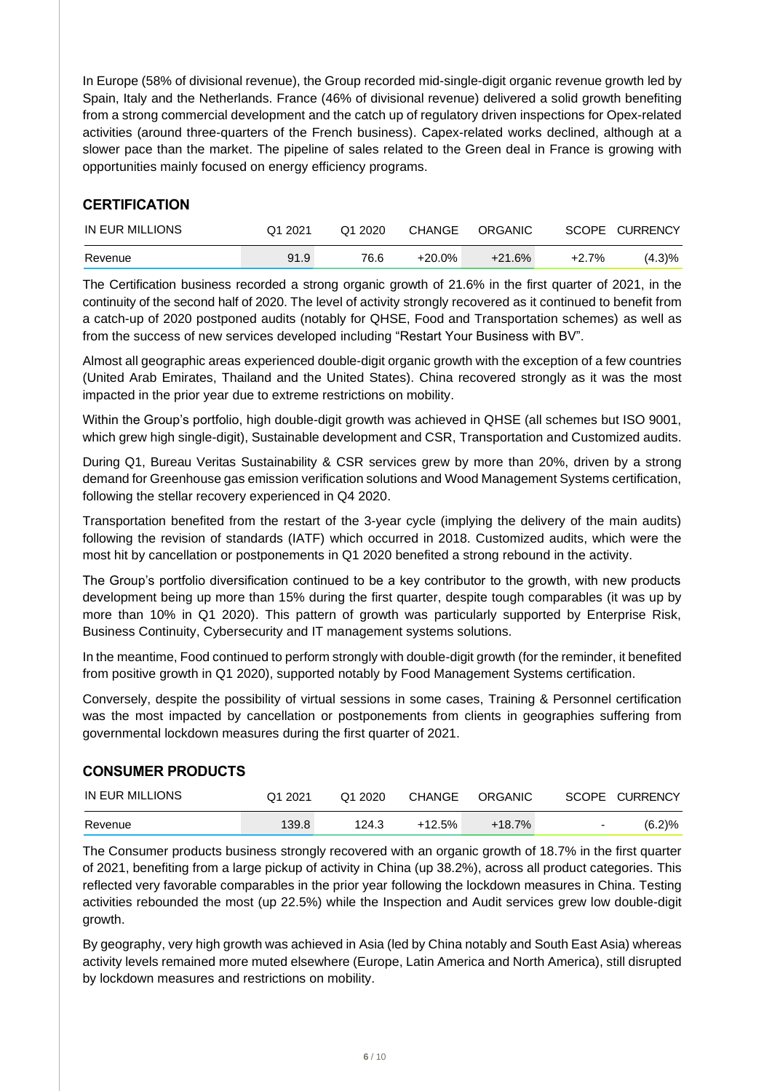In Europe (58% of divisional revenue), the Group recorded mid-single-digit organic revenue growth led by Spain, Italy and the Netherlands. France (46% of divisional revenue) delivered a solid growth benefiting from a strong commercial development and the catch up of regulatory driven inspections for Opex-related activities (around three-quarters of the French business). Capex-related works declined, although at a slower pace than the market. The pipeline of sales related to the Green deal in France is growing with opportunities mainly focused on energy efficiency programs.

# **CERTIFICATION**

| IN EUR MILLIONS | Q1 2021 | Q1 2020 | CHANGE   | ORGANIC  |       | SCOPE CURRENCY |
|-----------------|---------|---------|----------|----------|-------|----------------|
| Revenue         | 91.9    | 76.6    | $+20.0%$ | $+21.6%$ | +2.7% | (4.3)%         |

The Certification business recorded a strong organic growth of 21.6% in the first quarter of 2021, in the continuity of the second half of 2020. The level of activity strongly recovered as it continued to benefit from a catch-up of 2020 postponed audits (notably for QHSE, Food and Transportation schemes) as well as from the success of new services developed including "Restart Your Business with BV".

Almost all geographic areas experienced double-digit organic growth with the exception of a few countries (United Arab Emirates, Thailand and the United States). China recovered strongly as it was the most impacted in the prior year due to extreme restrictions on mobility.

Within the Group's portfolio, high double-digit growth was achieved in QHSE (all schemes but ISO 9001, which grew high single-digit), Sustainable development and CSR, Transportation and Customized audits.

During Q1, Bureau Veritas Sustainability & CSR services grew by more than 20%, driven by a strong demand for Greenhouse gas emission verification solutions and Wood Management Systems certification, following the stellar recovery experienced in Q4 2020.

Transportation benefited from the restart of the 3-year cycle (implying the delivery of the main audits) following the revision of standards (IATF) which occurred in 2018. Customized audits, which were the most hit by cancellation or postponements in Q1 2020 benefited a strong rebound in the activity.

The Group's portfolio diversification continued to be a key contributor to the growth, with new products development being up more than 15% during the first quarter, despite tough comparables (it was up by more than 10% in Q1 2020). This pattern of growth was particularly supported by Enterprise Risk, Business Continuity, Cybersecurity and IT management systems solutions.

In the meantime, Food continued to perform strongly with double-digit growth (for the reminder, it benefited from positive growth in Q1 2020), supported notably by Food Management Systems certification.

Conversely, despite the possibility of virtual sessions in some cases, Training & Personnel certification was the most impacted by cancellation or postponements from clients in geographies suffering from governmental lockdown measures during the first quarter of 2021.

# **CONSUMER PRODUCTS**

| IN EUR MILLIONS | Q1 2021 | Q1 2020 | CHANGE   | ORGANIC  |        | SCOPE CURRENCY |
|-----------------|---------|---------|----------|----------|--------|----------------|
| Revenue         | 139.8   | 124.3   | $+12.5%$ | $+18.7%$ | $\sim$ | (6.2)%         |

The Consumer products business strongly recovered with an organic growth of 18.7% in the first quarter of 2021, benefiting from a large pickup of activity in China (up 38.2%), across all product categories. This reflected very favorable comparables in the prior year following the lockdown measures in China. Testing activities rebounded the most (up 22.5%) while the Inspection and Audit services grew low double-digit growth.

By geography, very high growth was achieved in Asia (led by China notably and South East Asia) whereas activity levels remained more muted elsewhere (Europe, Latin America and North America), still disrupted by lockdown measures and restrictions on mobility.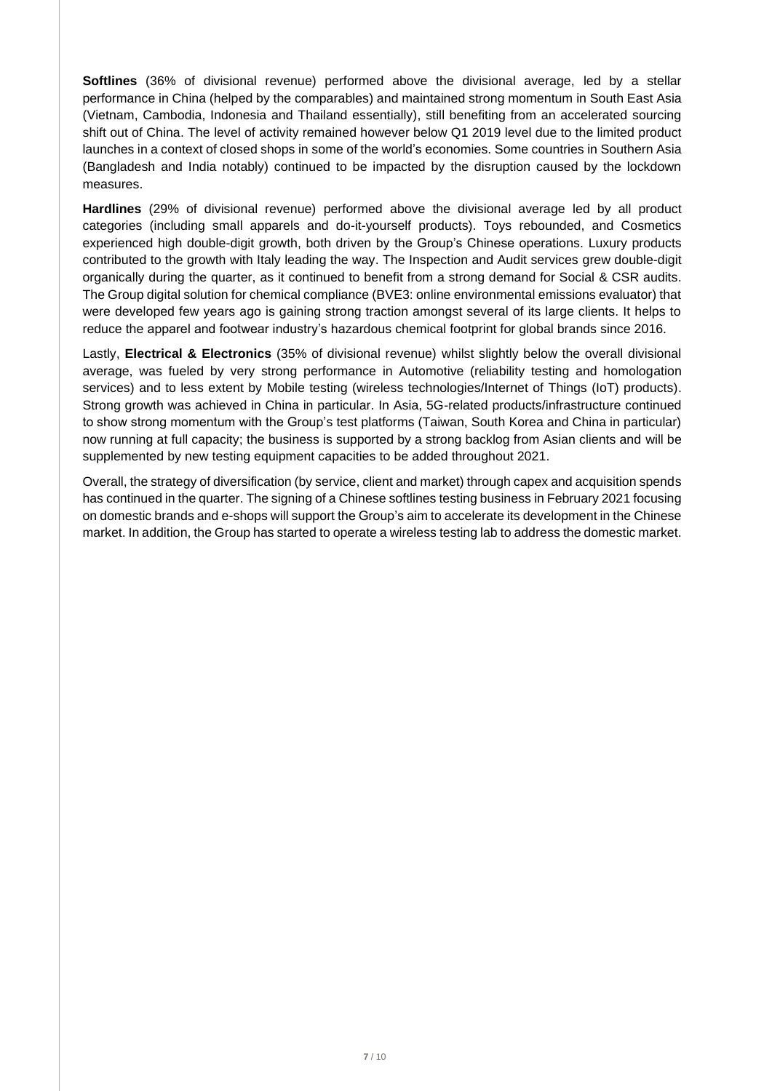**Softlines** (36% of divisional revenue) performed above the divisional average, led by a stellar performance in China (helped by the comparables) and maintained strong momentum in South East Asia (Vietnam, Cambodia, Indonesia and Thailand essentially), still benefiting from an accelerated sourcing shift out of China. The level of activity remained however below Q1 2019 level due to the limited product launches in a context of closed shops in some of the world's economies. Some countries in Southern Asia (Bangladesh and India notably) continued to be impacted by the disruption caused by the lockdown measures.

**Hardlines** (29% of divisional revenue) performed above the divisional average led by all product categories (including small apparels and do-it-yourself products). Toys rebounded, and Cosmetics experienced high double-digit growth, both driven by the Group's Chinese operations. Luxury products contributed to the growth with Italy leading the way. The Inspection and Audit services grew double-digit organically during the quarter, as it continued to benefit from a strong demand for Social & CSR audits. The Group digital solution for chemical compliance (BVE3: online environmental emissions evaluator) that were developed few years ago is gaining strong traction amongst several of its large clients. It helps to reduce the apparel and footwear industry's hazardous chemical footprint for global brands since 2016.

Lastly, **Electrical & Electronics** (35% of divisional revenue) whilst slightly below the overall divisional average, was fueled by very strong performance in Automotive (reliability testing and homologation services) and to less extent by Mobile testing (wireless technologies/Internet of Things (IoT) products). Strong growth was achieved in China in particular. In Asia, 5G-related products/infrastructure continued to show strong momentum with the Group's test platforms (Taiwan, South Korea and China in particular) now running at full capacity; the business is supported by a strong backlog from Asian clients and will be supplemented by new testing equipment capacities to be added throughout 2021.

Overall, the strategy of diversification (by service, client and market) through capex and acquisition spends has continued in the quarter. The signing of a Chinese softlines testing business in February 2021 focusing on domestic brands and e-shops will support the Group's aim to accelerate its development in the Chinese market. In addition, the Group has started to operate a wireless testing lab to address the domestic market.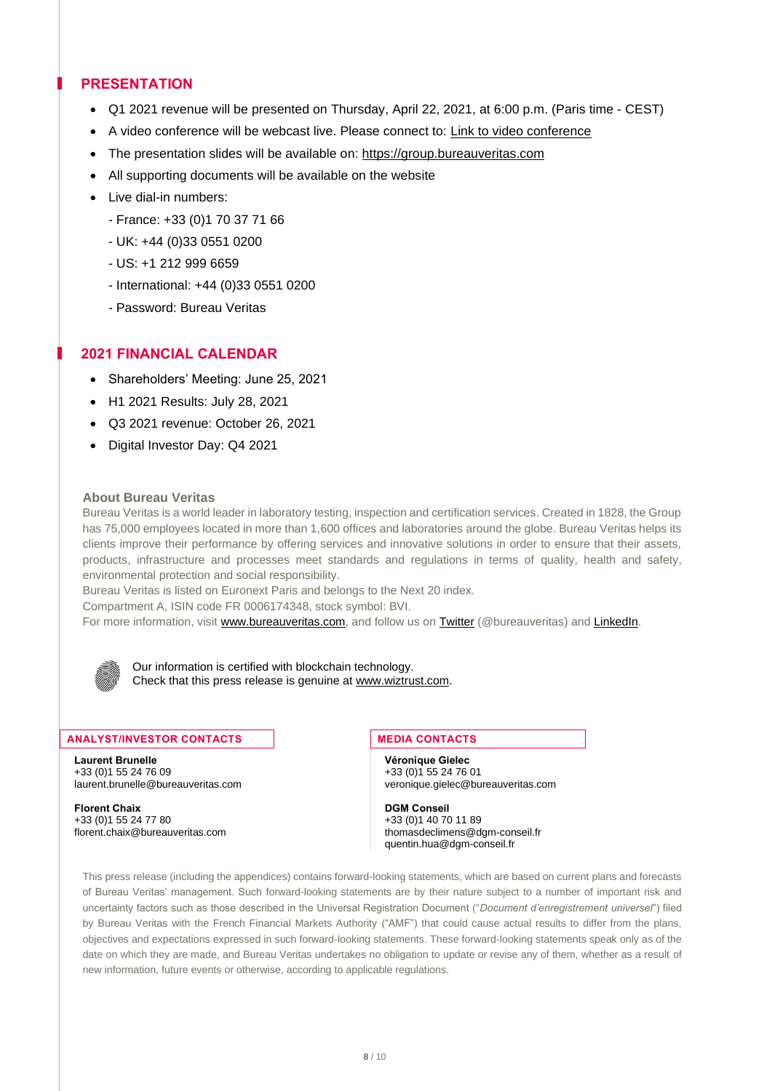# **PRESENTATION**

- Q1 2021 revenue will be presented on Thursday, April 22, 2021, at 6:00 p.m. (Paris time CEST)
- A video conference will be webcast live. Please connect to: [Link to video conference](https://channel.royalcast.com/bureauveritas/#!/bureauveritas/20210422_1)
- The presentation slides will be available on: [https://group.bureauveritas.com](https://group.bureauveritas.com/investors/financial-information/financial-results)
- All supporting documents will be available on the website
- Live dial-in numbers:
	- France: +33 (0)1 70 37 71 66
	- UK: +44 (0)33 0551 0200
	- US: +1 212 999 6659
	- International: +44 (0)33 0551 0200
	- Password: Bureau Veritas

# **2021 FINANCIAL CALENDAR**

- Shareholders' Meeting: June 25, 2021
- H1 2021 Results: July 28, 2021
- Q3 2021 revenue: October 26, 2021
- Digital Investor Day: Q4 2021

#### **About Bureau Veritas**

Bureau Veritas is a world leader in laboratory testing, inspection and certification services. Created in 1828, the Group has 75,000 employees located in more than 1,600 offices and laboratories around the globe. Bureau Veritas helps its clients improve their performance by offering services and innovative solutions in order to ensure that their assets, products, infrastructure and processes meet standards and regulations in terms of quality, health and safety, environmental protection and social responsibility.

Bureau Veritas is listed on Euronext Paris and belongs to the Next 20 index.

Compartment A, ISIN code FR 0006174348, stock symbol: BVI.

For more information, visit [www.bureauveritas.com,](https://group.bureauveritas.com/) and follow us on [Twitter](https://twitter.com/bureauveritas) (@bureauveritas) and [LinkedIn.](https://www.linkedin.com/company/bureau-veritas-group/)

Our information is certified with blockchain technology. Check that this press release is genuine a[t www.wiztrust.com.](http://www.wiztrust.com/)

#### **ANALYST/INVESTOR CONTACTS MEDIA CONTACTS**

**Laurent Brunelle Véronique Gielec** +33 (0)1 55 24 76 09 +33 (0)1 55 24 76 01

**Florent Chaix DGM Conseil**  $+33$  (0)1 55 24 77 80  $+33$  (0)1 40 70 11 89<br>florent chaix@bureauveritas.com thomas declimens @d

veronique.gielec@bureauveritas.com

thomasdeclimens@dgm-conseil.fr quentin.hua@dgm-conseil.fr

This press release (including the appendices) contains forward-looking statements, which are based on current plans and forecasts of Bureau Veritas' management. Such forward-looking statements are by their nature subject to a number of important risk and uncertainty factors such as those described in the Universal Registration Document ("*Document d'enregistrement universel*") filed by Bureau Veritas with the French Financial Markets Authority ("AMF") that could cause actual results to differ from the plans, objectives and expectations expressed in such forward-looking statements. These forward-looking statements speak only as of the date on which they are made, and Bureau Veritas undertakes no obligation to update or revise any of them, whether as a result of new information, future events or otherwise, according to applicable regulations.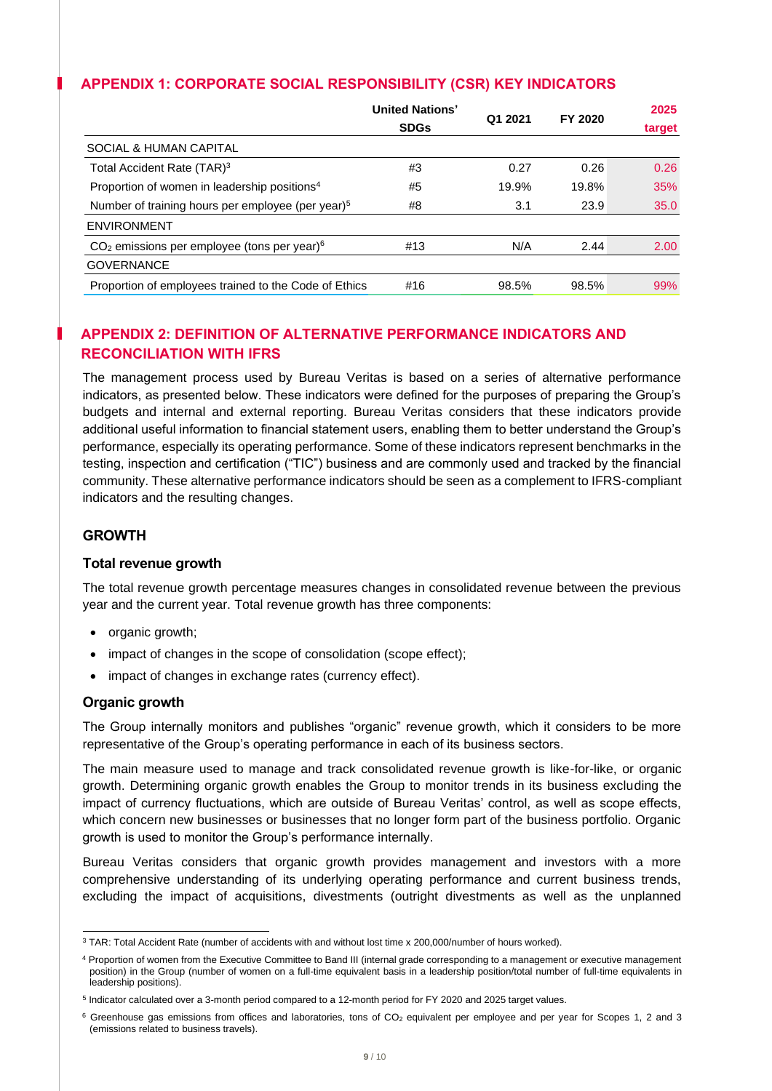# **APPENDIX 1: CORPORATE SOCIAL RESPONSIBILITY (CSR) KEY INDICATORS**

|                                                               | <b>United Nations'</b><br><b>SDGs</b> | Q1 2021 | FY 2020 | 2025<br>target |
|---------------------------------------------------------------|---------------------------------------|---------|---------|----------------|
| SOCIAL & HUMAN CAPITAL                                        |                                       |         |         |                |
| Total Accident Rate (TAR) <sup>3</sup>                        | #3                                    | 0.27    | 0.26    | 0.26           |
| Proportion of women in leadership positions <sup>4</sup>      | #5                                    | 19.9%   | 19.8%   | 35%            |
| Number of training hours per employee (per year) <sup>5</sup> | #8                                    | 3.1     | 23.9    | 35.0           |
| <b>ENVIRONMENT</b>                                            |                                       |         |         |                |
| $CO2$ emissions per employee (tons per year) <sup>6</sup>     | #13                                   | N/A     | 2.44    | 2.00           |
| <b>GOVERNANCE</b>                                             |                                       |         |         |                |
| Proportion of employees trained to the Code of Ethics         | #16                                   | 98.5%   | 98.5%   | 99%            |

# **APPENDIX 2: DEFINITION OF ALTERNATIVE PERFORMANCE INDICATORS AND RECONCILIATION WITH IFRS**

The management process used by Bureau Veritas is based on a series of alternative performance indicators, as presented below. These indicators were defined for the purposes of preparing the Group's budgets and internal and external reporting. Bureau Veritas considers that these indicators provide additional useful information to financial statement users, enabling them to better understand the Group's performance, especially its operating performance. Some of these indicators represent benchmarks in the testing, inspection and certification ("TIC") business and are commonly used and tracked by the financial community. These alternative performance indicators should be seen as a complement to IFRS-compliant indicators and the resulting changes.

# **GROWTH**

#### **Total revenue growth**

The total revenue growth percentage measures changes in consolidated revenue between the previous year and the current year. Total revenue growth has three components:

- organic growth;
- impact of changes in the scope of consolidation (scope effect);
- impact of changes in exchange rates (currency effect).

#### **Organic growth**

The Group internally monitors and publishes "organic" revenue growth, which it considers to be more representative of the Group's operating performance in each of its business sectors.

The main measure used to manage and track consolidated revenue growth is like-for-like, or organic growth. Determining organic growth enables the Group to monitor trends in its business excluding the impact of currency fluctuations, which are outside of Bureau Veritas' control, as well as scope effects, which concern new businesses or businesses that no longer form part of the business portfolio. Organic growth is used to monitor the Group's performance internally.

Bureau Veritas considers that organic growth provides management and investors with a more comprehensive understanding of its underlying operating performance and current business trends, excluding the impact of acquisitions, divestments (outright divestments as well as the unplanned

<sup>3</sup> TAR: Total Accident Rate (number of accidents with and without lost time x 200,000/number of hours worked).

<sup>4</sup> Proportion of women from the Executive Committee to Band III (internal grade corresponding to a management or executive management position) in the Group (number of women on a full-time equivalent basis in a leadership position/total number of full-time equivalents in leadership positions).

<sup>5</sup> Indicator calculated over a 3-month period compared to a 12-month period for FY 2020 and 2025 target values.

 $6$  Greenhouse gas emissions from offices and laboratories, tons of CO<sub>2</sub> equivalent per employee and per year for Scopes 1, 2 and 3 (emissions related to business travels).